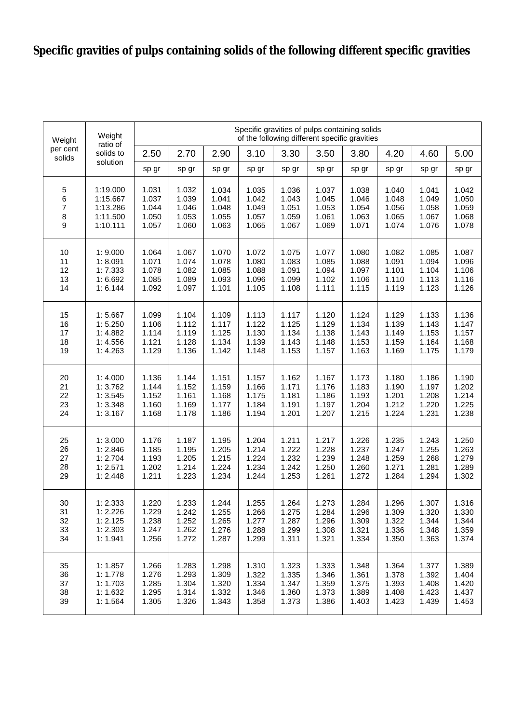## **Specific gravities of pulps containing solids of the following different specific gravities**

| Weight<br>per cent<br>solids | Weight<br>ratio of<br>solids to<br>solution | Specific gravities of pulps containing solids<br>of the following different specific gravities |       |       |       |       |       |       |       |       |       |
|------------------------------|---------------------------------------------|------------------------------------------------------------------------------------------------|-------|-------|-------|-------|-------|-------|-------|-------|-------|
|                              |                                             | 2.50                                                                                           | 2.70  | 2.90  | 3.10  | 3.30  | 3.50  | 3.80  | 4.20  | 4.60  | 5.00  |
|                              |                                             | sp gr                                                                                          | sp gr | sp gr | sp gr | sp gr | sp gr | sp gr | sp gr | sp gr | sp gr |
| $\,$ 5 $\,$                  | 1:19.000                                    | 1.031                                                                                          | 1.032 | 1.034 | 1.035 | 1.036 | 1.037 | 1.038 | 1.040 | 1.041 | 1.042 |
| 6                            | 1:15.667                                    | 1.037                                                                                          | 1.039 | 1.041 | 1.042 | 1.043 | 1.045 | 1.046 | 1.048 | 1.049 | 1.050 |
| $\boldsymbol{7}$             | 1:13.286                                    | 1.044                                                                                          | 1.046 | 1.048 | 1.049 | 1.051 | 1.053 | 1.054 | 1.056 | 1.058 | 1.059 |
| 8                            | 1:11.500                                    | 1.050                                                                                          | 1.053 | 1.055 | 1.057 | 1.059 | 1.061 | 1.063 | 1.065 | 1.067 | 1.068 |
| $\boldsymbol{9}$             | 1:10.111                                    | 1.057                                                                                          | 1.060 | 1.063 | 1.065 | 1.067 | 1.069 | 1.071 | 1.074 | 1.076 | 1.078 |
| 10                           | 1:9.000                                     | 1.064                                                                                          | 1.067 | 1.070 | 1.072 | 1.075 | 1.077 | 1.080 | 1.082 | 1.085 | 1.087 |
| 11                           | 1:8.091                                     | 1.071                                                                                          | 1.074 | 1.078 | 1.080 | 1.083 | 1.085 | 1.088 | 1.091 | 1.094 | 1.096 |
| 12                           | 1:7.333                                     | 1.078                                                                                          | 1.082 | 1.085 | 1.088 | 1.091 | 1.094 | 1.097 | 1.101 | 1.104 | 1.106 |
| 13                           | 1:6.692                                     | 1.085                                                                                          | 1.089 | 1.093 | 1.096 | 1.099 | 1.102 | 1.106 | 1.110 | 1.113 | 1.116 |
| 14                           | 1:6.144                                     | 1.092                                                                                          | 1.097 | 1.101 | 1.105 | 1.108 | 1.111 | 1.115 | 1.119 | 1.123 | 1.126 |
| 15                           | 1:5.667                                     | 1.099                                                                                          | 1.104 | 1.109 | 1.113 | 1.117 | 1.120 | 1.124 | 1.129 | 1.133 | 1.136 |
| 16                           | 1:5.250                                     | 1.106                                                                                          | 1.112 | 1.117 | 1.122 | 1.125 | 1.129 | 1.134 | 1.139 | 1.143 | 1.147 |
| 17                           | 1:4.882                                     | 1.114                                                                                          | 1.119 | 1.125 | 1.130 | 1.134 | 1.138 | 1.143 | 1.149 | 1.153 | 1.157 |
| 18                           | 1:4.556                                     | 1.121                                                                                          | 1.128 | 1.134 | 1.139 | 1.143 | 1.148 | 1.153 | 1.159 | 1.164 | 1.168 |
| 19                           | 1: 4.263                                    | 1.129                                                                                          | 1.136 | 1.142 | 1.148 | 1.153 | 1.157 | 1.163 | 1.169 | 1.175 | 1.179 |
| 20                           | 1:4.000                                     | 1.136                                                                                          | 1.144 | 1.151 | 1.157 | 1.162 | 1.167 | 1.173 | 1.180 | 1.186 | 1.190 |
| 21                           | 1:3.762                                     | 1.144                                                                                          | 1.152 | 1.159 | 1.166 | 1.171 | 1.176 | 1.183 | 1.190 | 1.197 | 1.202 |
| 22                           | 1:3.545                                     | 1.152                                                                                          | 1.161 | 1.168 | 1.175 | 1.181 | 1.186 | 1.193 | 1.201 | 1.208 | 1.214 |
| 23                           | 1:3.348                                     | 1.160                                                                                          | 1.169 | 1.177 | 1.184 | 1.191 | 1.197 | 1.204 | 1.212 | 1.220 | 1.225 |
| 24                           | 1:3.167                                     | 1.168                                                                                          | 1.178 | 1.186 | 1.194 | 1.201 | 1.207 | 1.215 | 1.224 | 1.231 | 1.238 |
| 25                           | 1:3.000                                     | 1.176                                                                                          | 1.187 | 1.195 | 1.204 | 1.211 | 1.217 | 1.226 | 1.235 | 1.243 | 1.250 |
| 26                           | 1:2.846                                     | 1.185                                                                                          | 1.195 | 1.205 | 1.214 | 1.222 | 1.228 | 1.237 | 1.247 | 1.255 | 1.263 |
| 27                           | 1:2.704                                     | 1.193                                                                                          | 1.205 | 1.215 | 1.224 | 1.232 | 1.239 | 1.248 | 1.259 | 1.268 | 1.279 |
| 28                           | 1:2.571                                     | 1.202                                                                                          | 1.214 | 1.224 | 1.234 | 1.242 | 1.250 | 1.260 | 1.271 | 1.281 | 1.289 |
| 29                           | 1:2.448                                     | 1.211                                                                                          | 1.223 | 1.234 | 1.244 | 1.253 | 1.261 | 1.272 | 1.284 | 1.294 | 1.302 |
| 30                           | 1: 2.333                                    | 1.220                                                                                          | 1.233 | 1.244 | 1.255 | 1.264 | 1.273 | 1.284 | 1.296 | 1.307 | 1.316 |
| 31                           | 1:2.226                                     | 1.229                                                                                          | 1.242 | 1.255 | 1.266 | 1.275 | 1.284 | 1.296 | 1.309 | 1.320 | 1.330 |
| 32                           | 1:2.125                                     | 1.238                                                                                          | 1.252 | 1.265 | 1.277 | 1.287 | 1.296 | 1.309 | 1.322 | 1.344 | 1.344 |
| 33                           | 1:2.303                                     | 1.247                                                                                          | 1.262 | 1.276 | 1.288 | 1.299 | 1.308 | 1.321 | 1.336 | 1.348 | 1.359 |
| 34                           | 1:1.941                                     | 1.256                                                                                          | 1.272 | 1.287 | 1.299 | 1.311 | 1.321 | 1.334 | 1.350 | 1.363 | 1.374 |
| 35                           | 1:1.857                                     | 1.266                                                                                          | 1.283 | 1.298 | 1.310 | 1.323 | 1.333 | 1.348 | 1.364 | 1.377 | 1.389 |
| 36                           | 1:1.778                                     | 1.276                                                                                          | 1.293 | 1.309 | 1.322 | 1.335 | 1.346 | 1.361 | 1.378 | 1.392 | 1.404 |
| 37                           | 1:1.703                                     | 1.285                                                                                          | 1.304 | 1.320 | 1.334 | 1.347 | 1.359 | 1.375 | 1.393 | 1.408 | 1.420 |
| 38                           | 1:1.632                                     | 1.295                                                                                          | 1.314 | 1.332 | 1.346 | 1.360 | 1.373 | 1.389 | 1.408 | 1.423 | 1.437 |
| 39                           | 1: 1.564                                    | 1.305                                                                                          | 1.326 | 1.343 | 1.358 | 1.373 | 1.386 | 1.403 | 1.423 | 1.439 | 1.453 |